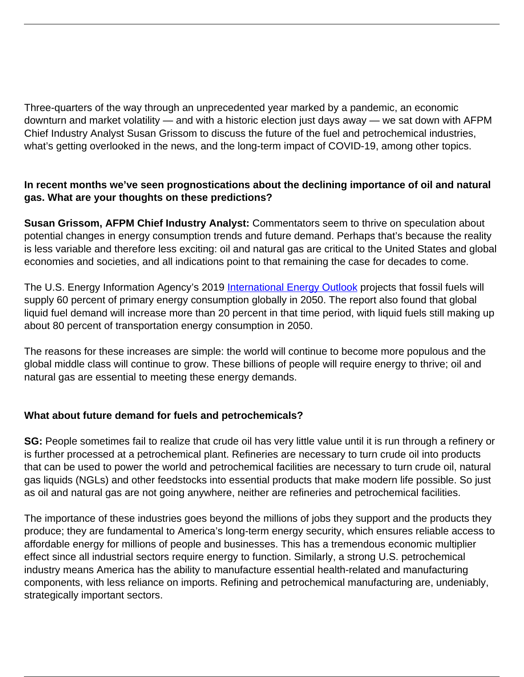Three-quarters of the way through an unprecedented year marked by a pandemic, an economic downturn and market volatility — and with a historic election just days away — we sat down with AFPM Chief Industry Analyst Susan Grissom to discuss the future of the fuel and petrochemical industries, what's getting overlooked in the news, and the long-term impact of COVID-19, among other topics.

### **In recent months we've seen prognostications about the declining importance of oil and natural gas. What are your thoughts on these predictions?**

**Susan Grissom, AFPM Chief Industry Analyst:** Commentators seem to thrive on speculation about potential changes in energy consumption trends and future demand. Perhaps that's because the reality is less variable and therefore less exciting: oil and natural gas are critical to the United States and global economies and societies, and all indications point to that remaining the case for decades to come.

The U.S. Energy Information Agency's 2019 [International Energy Outlook](https://www.eia.gov/outlooks/ieo/pdf/ieo2019.pdf) projects that fossil fuels will supply 60 percent of primary energy consumption globally in 2050. The report also found that global liquid fuel demand will increase more than 20 percent in that time period, with liquid fuels still making up about 80 percent of transportation energy consumption in 2050.

The reasons for these increases are simple: the world will continue to become more populous and the global middle class will continue to grow. These billions of people will require energy to thrive; oil and natural gas are essential to meeting these energy demands.

### **What about future demand for fuels and petrochemicals?**

**SG:** People sometimes fail to realize that crude oil has very little value until it is run through a refinery or is further processed at a petrochemical plant. Refineries are necessary to turn crude oil into products that can be used to power the world and petrochemical facilities are necessary to turn crude oil, natural gas liquids (NGLs) and other feedstocks into essential products that make modern life possible. So just as oil and natural gas are not going anywhere, neither are refineries and petrochemical facilities.

The importance of these industries goes beyond the millions of jobs they support and the products they produce; they are fundamental to America's long-term energy security, which ensures reliable access to affordable energy for millions of people and businesses. This has a tremendous economic multiplier effect since all industrial sectors require energy to function. Similarly, a strong U.S. petrochemical industry means America has the ability to manufacture essential health-related and manufacturing components, with less reliance on imports. Refining and petrochemical manufacturing are, undeniably, strategically important sectors.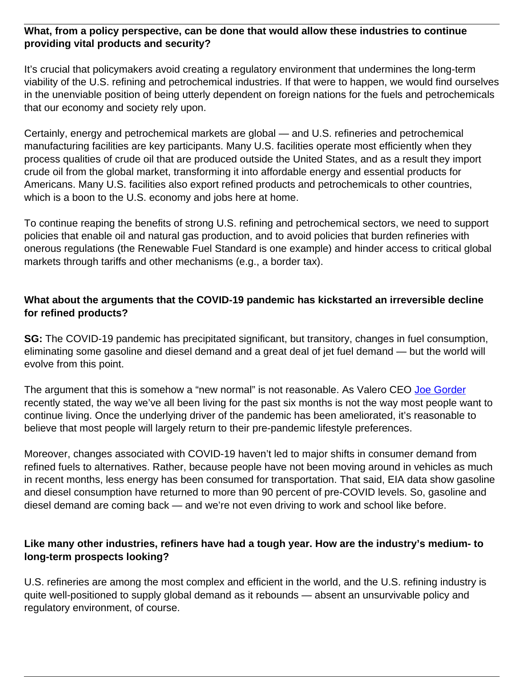### **What, from a policy perspective, can be done that would allow these industries to continue providing vital products and security?**

It's crucial that policymakers avoid creating a regulatory environment that undermines the long-term viability of the U.S. refining and petrochemical industries. If that were to happen, we would find ourselves in the unenviable position of being utterly dependent on foreign nations for the fuels and petrochemicals that our economy and society rely upon.

Certainly, energy and petrochemical markets are global — and U.S. refineries and petrochemical manufacturing facilities are key participants. Many U.S. facilities operate most efficiently when they process qualities of crude oil that are produced outside the United States, and as a result they import crude oil from the global market, transforming it into affordable energy and essential products for Americans. Many U.S. facilities also export refined products and petrochemicals to other countries, which is a boon to the U.S. economy and jobs here at home.

To continue reaping the benefits of strong U.S. refining and petrochemical sectors, we need to support policies that enable oil and natural gas production, and to avoid policies that burden refineries with onerous regulations (the Renewable Fuel Standard is one example) and hinder access to critical global markets through tariffs and other mechanisms (e.g., a border tax).

### **What about the arguments that the COVID-19 pandemic has kickstarted an irreversible decline for refined products?**

**SG:** The COVID-19 pandemic has precipitated significant, but transitory, changes in fuel consumption, eliminating some gasoline and diesel demand and a great deal of jet fuel demand — but the world will evolve from this point.

The argument that this is somehow a "new normal" is not reasonable. As Valero CEO [Joe Gorder](https://www.yahoo.com/now/edited-transcript-vlo-n-earnings-081243852.html) recently stated, the way we've all been living for the past six months is not the way most people want to continue living. Once the underlying driver of the pandemic has been ameliorated, it's reasonable to believe that most people will largely return to their pre-pandemic lifestyle preferences.

Moreover, changes associated with COVID-19 haven't led to major shifts in consumer demand from refined fuels to alternatives. Rather, because people have not been moving around in vehicles as much in recent months, less energy has been consumed for transportation. That said, EIA data show gasoline and diesel consumption have returned to more than 90 percent of pre-COVID levels. So, gasoline and diesel demand are coming back — and we're not even driving to work and school like before.

### **Like many other industries, refiners have had a tough year. How are the industry's medium- to long-term prospects looking?**

U.S. refineries are among the most complex and efficient in the world, and the U.S. refining industry is quite well-positioned to supply global demand as it rebounds — absent an unsurvivable policy and regulatory environment, of course.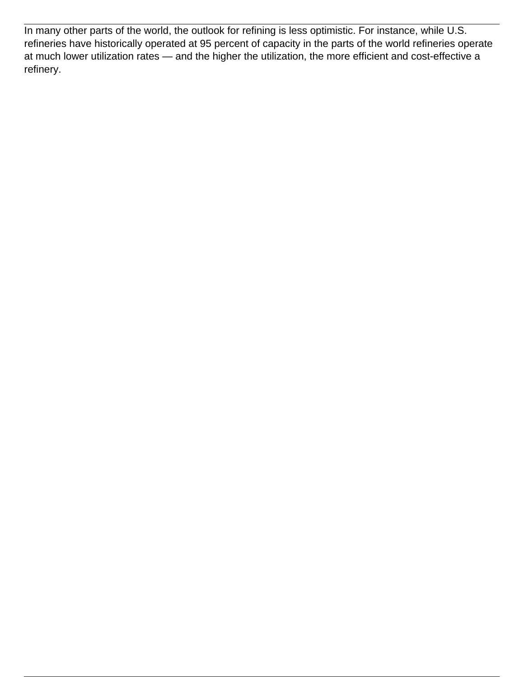In many other parts of the world, the outlook for refining is less optimistic. For instance, while U.S. refineries have historically operated at 95 percent of capacity in the parts of the world refineries operate at much lower utilization rates — and the higher the utilization, the more efficient and cost-effective a refinery.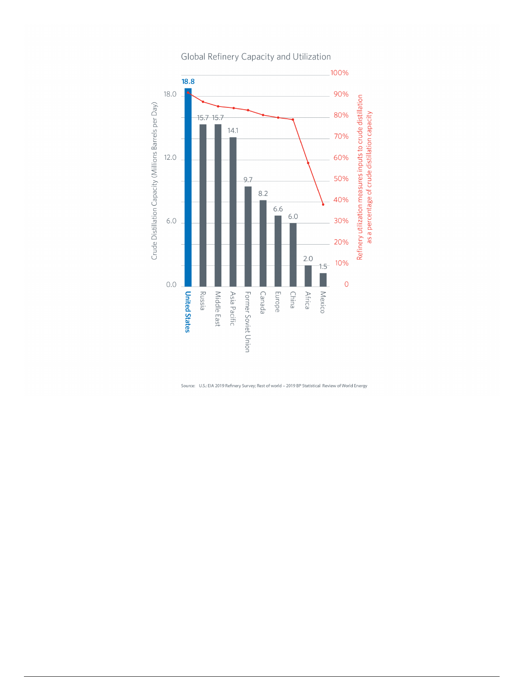

Global Refinery Capacity and Utilization

Source: U.S.: EIA 2019 Refinery Survey; Rest of world - 2019 BP Statistical Review of World Energy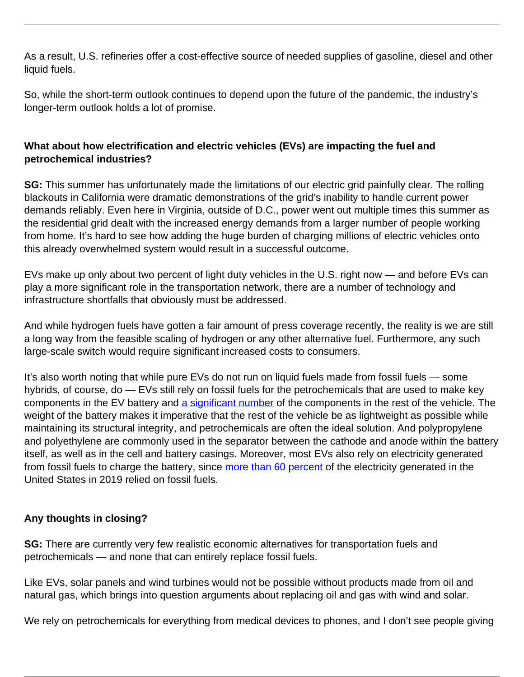As a result, U.S. refineries offer a cost-effective source of needed supplies of gasoline, diesel and other liquid fuels.

So, while the short-term outlook continues to depend upon the future of the pandemic, the industry's longer-term outlook holds a lot of promise.

## **What about how electrification and electric vehicles (EVs) are impacting the fuel and petrochemical industries?**

**SG:** This summer has unfortunately made the limitations of our electric grid painfully clear. The rolling blackouts in California were dramatic demonstrations of the grid's inability to handle current power demands reliably. Even here in Virginia, outside of D.C., power went out multiple times this summer as the residential grid dealt with the increased energy demands from a larger number of people working from home. It's hard to see how adding the huge burden of charging millions of electric vehicles onto this already overwhelmed system would result in a successful outcome.

EVs make up only about two percent of light duty vehicles in the U.S. right now — and before EVs can play a more significant role in the transportation network, there are a number of technology and infrastructure shortfalls that obviously must be addressed.

And while hydrogen fuels have gotten a fair amount of press coverage recently, the reality is we are still a long way from the feasible scaling of hydrogen or any other alternative fuel. Furthermore, any such large-scale switch would require significant increased costs to consumers.

It's also worth noting that while pure EVs do not run on liquid fuels made from fossil fuels — some hybrids, of course, do — EVs still rely on fossil fuels for the petrochemicals that are used to make key components in the EV battery and [a significant number](https://www.visualcapitalist.com/how-much-oil-electric-vehicle/) of the components in the rest of the vehicle. The weight of the battery makes it imperative that the rest of the vehicle be as lightweight as possible while maintaining its structural integrity, and petrochemicals are often the ideal solution. And polypropylene and polyethylene are commonly used in the separator between the cathode and anode within the battery itself, as well as in the cell and battery casings. Moreover, most EVs also rely on electricity generated from fossil fuels to charge the battery, since [more than 60 percent](https://www.eia.gov/tools/faqs/faq.php?id=427&t=3) of the electricity generated in the United States in 2019 relied on fossil fuels.

# **Any thoughts in closing?**

**SG:** There are currently very few realistic economic alternatives for transportation fuels and petrochemicals — and none that can entirely replace fossil fuels.

Like EVs, solar panels and wind turbines would not be possible without products made from oil and natural gas, which brings into question arguments about replacing oil and gas with wind and solar.

We rely on petrochemicals for everything from medical devices to phones, and I don't see people giving